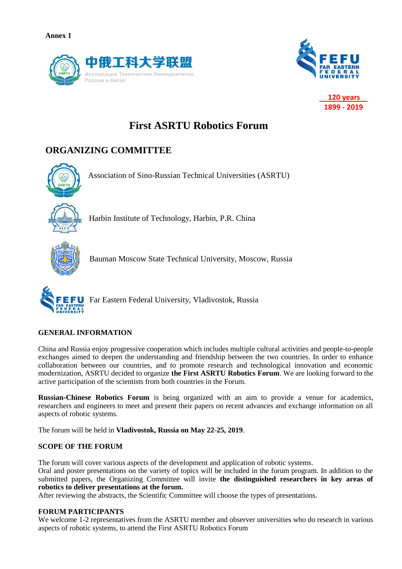



 **120 years 1899 - 2019**

# **First ASRTU Robotics Forum**

# **ORGANIZING COMMITTEE**



Association of Sino-Russian Technical Universities (ASRTU)



Harbin Institute of Technology, Harbin, P.R. China



Bauman Moscow State Technical University, Moscow, Russia



Far Eastern Federal University, Vladivostok, Russia

# **GENERAL INFORMATION**

China and Russia enjoy progressive cooperation which includes multiple cultural activities and people-to-people exchanges aimed to deepen the understanding and friendship between the two countries. In order to enhance collaboration between our countries, and to promote research and technological innovation and economic modernization, ASRTU decided to organize **the First ASRTU Robotics Forum**. We are looking forward to the active participation of the scientists from both countries in the Forum.

**Russian-Chinese Robotics Forum** is being organized with an aim to provide a venue for academics, researchers and engineers to meet and present their papers on recent advances and exchange information on all aspects of robotic systems.

The forum will be held in **Vladivostok, Russia on May 22-25, 2019**.

# **SCOPE OF THE FORUM**

The forum will cover various aspects of the development and application of robotic systems.

Oral and poster presentations on the variety of topics will be included in the forum program. In addition to the submitted papers, the Organizing Committee will invite **the distinguished researchers in key areas of robotics to deliver presentations at the forum.**

After reviewing the abstracts, the Scientific Committee will choose the types of presentations.

# **FORUM PARTICIPANTS**

We welcome 1-2 representatives from the ASRTU member and observer universities who do research in various aspects of robotic systems, to attend the First ASRTU Robotics Forum